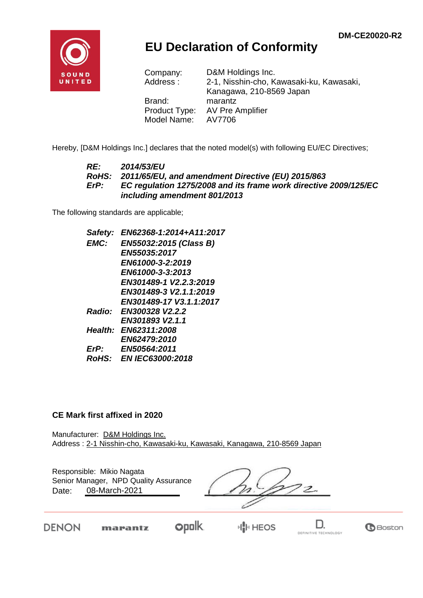**G**Boston

DEFINITIVE TECHNOLOGY



## **EU Declaration of Conformity**

| Company:      | D&M Holdings Inc.                        |
|---------------|------------------------------------------|
| Address:      | 2-1, Nisshin-cho, Kawasaki-ku, Kawasaki, |
|               | Kanagawa, 210-8569 Japan                 |
| Brand:        | marantz                                  |
| Product Type: | <b>AV Pre Amplifier</b>                  |
| Model Name:   | AV7706                                   |

Hereby, [D&M Holdings Inc.] declares that the noted model(s) with following EU/EC Directives;

#### *RE: 2014/53/EU RoHS: 2011/65/EU, and amendment Directive (EU) 2015/863 ErP: EC regulation 1275/2008 and its frame work directive 2009/125/EC including amendment 801/2013*

The following standards are applicable;

*Safety: EN62368-1:2014+A11:2017 EMC: EN55032:2015 (Class B) EN55035:2017 EN61000-3-2:2019 EN61000-3-3:2013 EN301489-1 V2.2.3:2019 EN301489-3 V2.1.1:2019 EN301489-17 V3.1.1:2017 Radio: EN300328 V2.2.2 EN301893 V2.1.1 Health: EN62311:2008 EN62479:2010 ErP: EN50564:2011 RoHS: EN IEC63000:2018*

#### **CE Mark first affixed in 2020**

marantz

DENON

Manufacturer: D&M Holdings Inc. Address : 2-1 Nisshin-cho, Kawasaki-ku, Kawasaki, Kanagawa, 210-8569 Japan

| Responsible: Mikio Nagata<br>Senior Manager, NPD Quality Assurance<br>08-March-2021<br>Date: |  |  |  |  |
|----------------------------------------------------------------------------------------------|--|--|--|--|
|                                                                                              |  |  |  |  |

**opolk** 

H<mark>I</mark>II HEOS